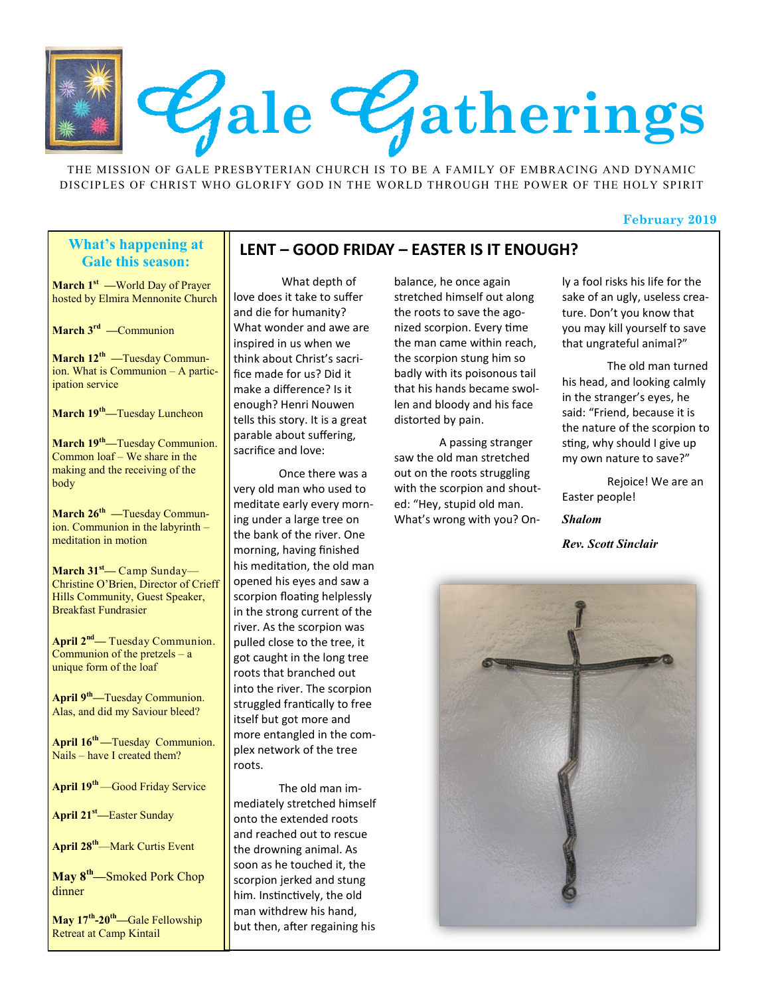

THE MISSION OF GALE PRESBYTERIAN CHURCH IS TO BE A FAMILY OF EMBRACING AND DYNAMIC DISCIPLES OF CHRIST WHO GLORIFY GOD IN THE WORLD THROUGH THE POWER OF THE HOLY SPIRIT

#### **February 2019**

#### **What's happening at Gale this season:**

**March 1st —**World Day of Prayer hosted by Elmira Mennonite Church

**March 3rd —**Communion

**March 12th —**Tuesday Communion. What is Communion – A participation service

**March 19th—**Tuesday Luncheon

**March 19th—**Tuesday Communion. Common loaf – We share in the making and the receiving of the body

**March 26th —**Tuesday Communion. Communion in the labyrinth – meditation in motion

**March 31st—** Camp Sunday— Christine O'Brien, Director of Crieff Hills Community, Guest Speaker, Breakfast Fundrasier

**April 2nd—** Tuesday Communion. Communion of the pretzels – a unique form of the loaf

**April 9th—**Tuesday Communion. Alas, and did my Saviour bleed?

**April 16th —**Tuesday Communion. Nails – have I created them?

**April 19th** —Good Friday Service

**April 21st—**Easter Sunday

**April 28th**—Mark Curtis Event

**May 8th—**Smoked Pork Chop dinner

**May 17th -20th—**Gale Fellowship Retreat at Camp Kintail

#### **LENT – GOOD FRIDAY – EASTER IS IT ENOUGH?**

What depth of love does it take to suffer and die for humanity? What wonder and awe are inspired in us when we think about Christ's sacrifice made for us? Did it make a difference? Is it enough? Henri Nouwen tells this story. It is a great parable about suffering, sacrifice and love:

Once there was a very old man who used to meditate early every morning under a large tree on the bank of the river. One morning, having finished his meditation, the old man opened his eyes and saw a scorpion floating helplessly in the strong current of the river. As the scorpion was pulled close to the tree, it got caught in the long tree roots that branched out into the river. The scorpion struggled frantically to free itself but got more and more entangled in the complex network of the tree roots.

The old man immediately stretched himself onto the extended roots and reached out to rescue the drowning animal. As soon as he touched it, the scorpion jerked and stung him. Instinctively, the old man withdrew his hand, but then, after regaining his

balance, he once again stretched himself out along the roots to save the agonized scorpion. Every time the man came within reach, the scorpion stung him so badly with its poisonous tail that his hands became swollen and bloody and his face distorted by pain.

A passing stranger saw the old man stretched out on the roots struggling with the scorpion and shouted: "Hey, stupid old man. What's wrong with you? On-

ly a fool risks his life for the sake of an ugly, useless creature. Don't you know that you may kill yourself to save that ungrateful animal?"

The old man turned his head, and looking calmly in the stranger's eyes, he said: "Friend, because it is the nature of the scorpion to sting, why should I give up my own nature to save?"

Rejoice! We are an Easter people!

*Shalom*

*Rev. Scott Sinclair*

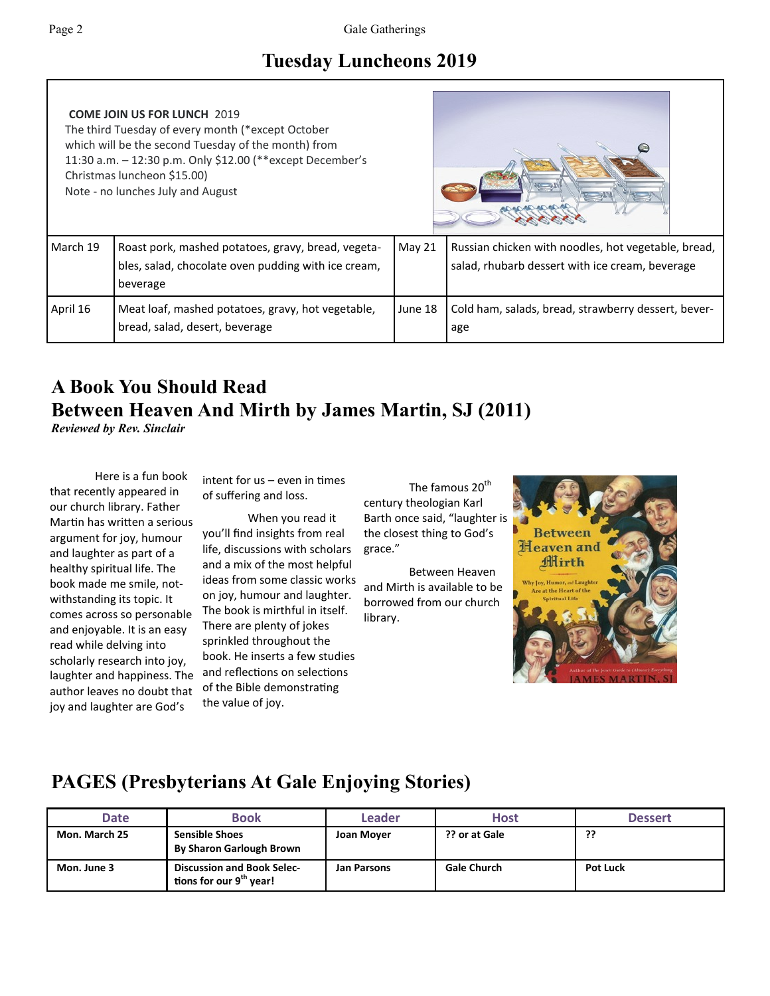Г

# **Tuesday Luncheons 2019**

| <b>COME JOIN US FOR LUNCH 2019</b><br>The third Tuesday of every month (*except October<br>which will be the second Tuesday of the month) from<br>11:30 a.m. - 12:30 p.m. Only \$12.00 (**except December's<br>Christmas luncheon \$15.00)<br>Note - no lunches July and August |                                                                                                                       | 20/20-00-00-00 |                                                                                                        |  |
|---------------------------------------------------------------------------------------------------------------------------------------------------------------------------------------------------------------------------------------------------------------------------------|-----------------------------------------------------------------------------------------------------------------------|----------------|--------------------------------------------------------------------------------------------------------|--|
| March 19                                                                                                                                                                                                                                                                        | Roast pork, mashed potatoes, gravy, bread, vegeta-<br>bles, salad, chocolate oven pudding with ice cream,<br>beverage | May 21         | Russian chicken with noodles, hot vegetable, bread,<br>salad, rhubarb dessert with ice cream, beverage |  |
| April 16                                                                                                                                                                                                                                                                        | Meat loaf, mashed potatoes, gravy, hot vegetable,<br>bread, salad, desert, beverage                                   | June 18        | Cold ham, salads, bread, strawberry dessert, bever-<br>age                                             |  |

# **A Book You Should Read Between Heaven And Mirth by James Martin, SJ (2011)**

*Reviewed by Rev. Sinclair*

Here is a fun book that recently appeared in our church library. Father Martin has written a serious argument for joy, humour and laughter as part of a healthy spiritual life. The book made me smile, notwithstanding its topic. It comes across so personable and enjoyable. It is an easy read while delving into scholarly research into joy, laughter and happiness. The author leaves no doubt that joy and laughter are God's

intent for us – even in times of suffering and loss.

When you read it you'll find insights from real life, discussions with scholars and a mix of the most helpful ideas from some classic works on joy, humour and laughter. The book is mirthful in itself. There are plenty of jokes sprinkled throughout the book. He inserts a few studies and reflections on selections of the Bible demonstrating the value of joy.

The famous 20<sup>th</sup> century theologian Karl Barth once said, "laughter is the closest thing to God's grace."

Between Heaven and Mirth is available to be borrowed from our church library.



# **PAGES (Presbyterians At Gale Enjoying Stories)**

| Date          | <b>Book</b>                                                              | Leader      | <b>Host</b>        | <b>Dessert</b>  |
|---------------|--------------------------------------------------------------------------|-------------|--------------------|-----------------|
| Mon. March 25 | <b>Sensible Shoes</b><br><b>By Sharon Garlough Brown</b>                 | Joan Moyer  | ?? or at Gale      | ??              |
| Mon. June 3   | <b>Discussion and Book Selec-</b><br>tions for our 9 <sup>th</sup> year! | Jan Parsons | <b>Gale Church</b> | <b>Pot Luck</b> |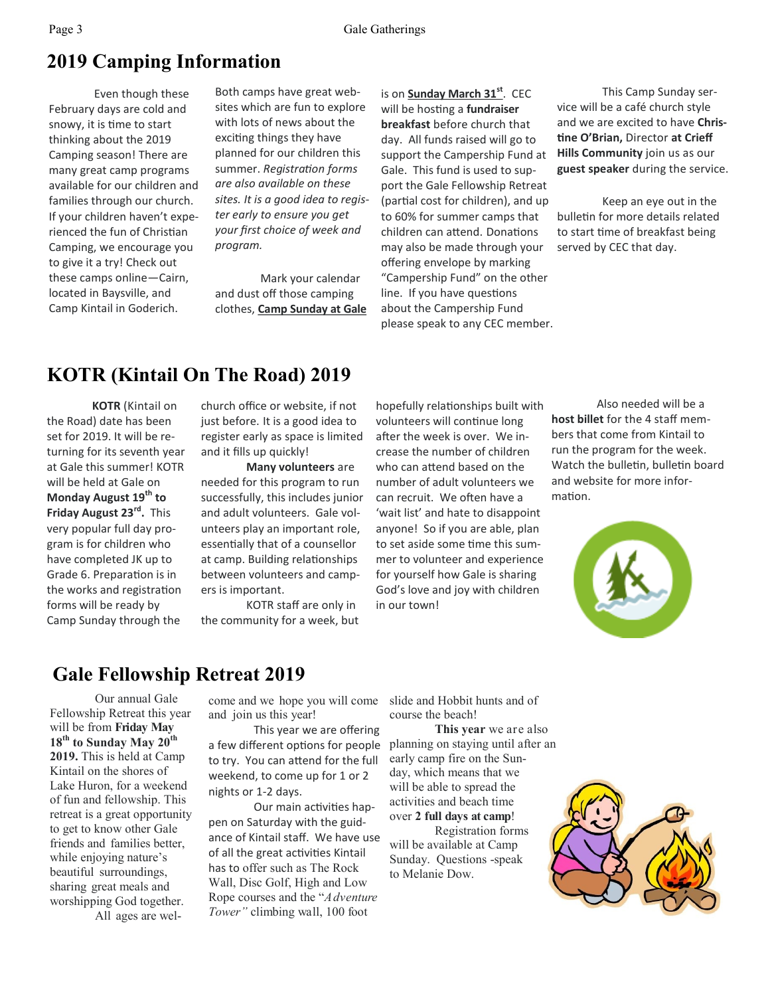## **2019 Camping Information**

Even though these February days are cold and snowy, it is time to start thinking about the 2019 Camping season! There are many great camp programs available for our children and families through our church. If your children haven't experienced the fun of Christian Camping, we encourage you to give it a try! Check out these camps online—Cairn, located in Baysville, and Camp Kintail in Goderich.

Both camps have great websites which are fun to explore with lots of news about the exciting things they have planned for our children this summer. *Registration forms are also available on these sites. It is a good idea to register early to ensure you get your first choice of week and program.*

Mark your calendar and dust off those camping clothes, **Camp Sunday at Gale**

is on **Sunday March 31st**. CEC will be hosting a **fundraiser breakfast** before church that day. All funds raised will go to support the Campership Fund at Gale. This fund is used to support the Gale Fellowship Retreat (partial cost for children), and up to 60% for summer camps that children can attend. Donations may also be made through your offering envelope by marking "Campership Fund" on the other line. If you have questions about the Campership Fund please speak to any CEC member.

This Camp Sunday service will be a café church style and we are excited to have **Christine O'Brian,** Director **at Crieff Hills Community** join us as our **guest speaker** during the service.

Keep an eye out in the bulletin for more details related to start time of breakfast being served by CEC that day.

### **KOTR (Kintail On The Road) 2019**

**KOTR** (Kintail on the Road) date has been set for 2019. It will be returning for its seventh year at Gale this summer! KOTR will be held at Gale on **Monday August 19th to Friday August 23rd .** This very popular full day program is for children who have completed JK up to Grade 6. Preparation is in the works and registration forms will be ready by Camp Sunday through the

church office or website, if not just before. It is a good idea to register early as space is limited and it fills up quickly!

**Many volunteers** are needed for this program to run successfully, this includes junior and adult volunteers. Gale volunteers play an important role, essentially that of a counsellor at camp. Building relationships between volunteers and campers is important.

KOTR staff are only in the community for a week, but

hopefully relationships built with volunteers will continue long after the week is over. We increase the number of children who can attend based on the number of adult volunteers we can recruit. We often have a 'wait list' and hate to disappoint anyone! So if you are able, plan to set aside some time this summer to volunteer and experience for yourself how Gale is sharing God's love and joy with children in our town!

Also needed will be a **host billet** for the 4 staff members that come from Kintail to run the program for the week. Watch the bulletin, bulletin board and website for more information.



### **Gale Fellowship Retreat 2019**

Our annual Gale Fellowship Retreat this year will be from **Friday May 18th to Sunday May 20th 2019.** This is held at Camp Kintail on the shores of Lake Huron, for a weekend of fun and fellowship. This retreat is a great opportunity to get to know other Gale friends and families better, while enjoying nature's beautiful surroundings, sharing great meals and worshipping God together.

All ages are wel-

come and we hope you will come and join us this year!

This year we are offering a few different options for people to try. You can attend for the full weekend, to come up for 1 or 2 nights or 1-2 days.

Our main activities happen on Saturday with the guidance of Kintail staff. We have use of all the great activities Kintail has to offer such as The Rock Wall, Disc Golf, High and Low Rope courses and the "*Adventure Tower"* climbing wall, 100 foot

slide and Hobbit hunts and of course the beach!

**This year** we are also planning on staying until after an early camp fire on the Sunday, which means that we will be able to spread the activities and beach time over **2 full days at camp**!

Registration forms will be available at Camp Sunday. Questions -speak to Melanie Dow.